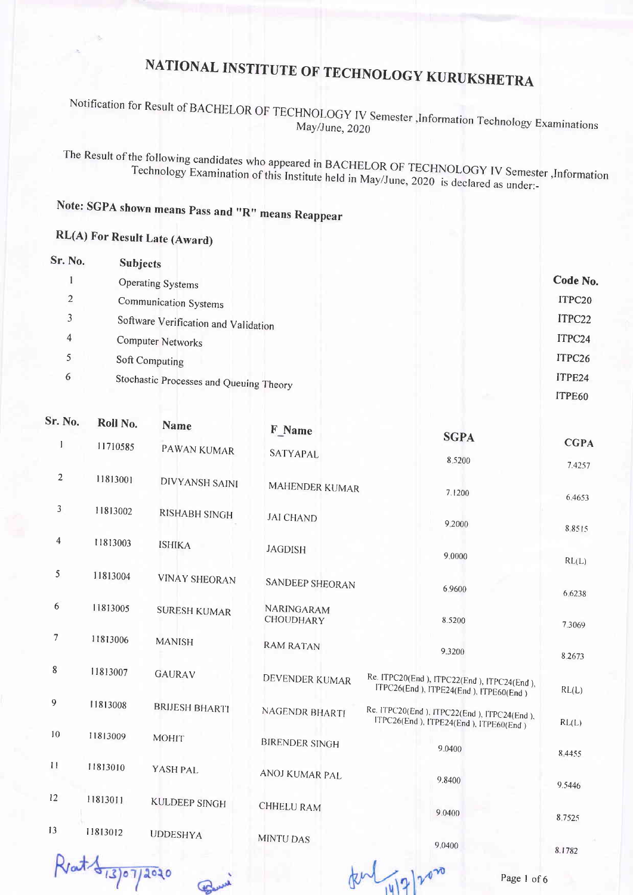#### Notification for Result of BACHELOR OF TECHNOLOGY IV Semester , Information Technology Examinations May/June, 2020

The Result of the following candidates who appeared in BACHELOR OF TECHNOLOGY IV Semester , Information Technology Examination of this Institute held in May/June, 2020 is declared as under:-

#### Note: SGPA shown means Pass and "R" means Reappear

#### **RL(A) For Result Late (Award)**

| Sr. No.        | <b>Subjects</b>                         |          |
|----------------|-----------------------------------------|----------|
|                | <b>Operating Systems</b>                | Code No. |
| $\overline{2}$ | Communication Systems                   | ITPC20   |
| 3              | Software Verification and Validation    | ITPC22   |
| 4              | <b>Computer Networks</b>                | ITPC24   |
| 5              | Soft Computing                          | ITPC26   |
| 6              | Stochastic Processes and Queuing Theory | ITPE24   |
|                |                                         | ITPE60   |

| 51. IYO,       | Roll No.  | <b>Name</b>           | F Name                         | <b>SGPA</b>                                                                         |                  |
|----------------|-----------|-----------------------|--------------------------------|-------------------------------------------------------------------------------------|------------------|
| $\mathbf{1}$   | 11710585  | PAWAN KUMAR           | SATYAPAL                       | 8.5200                                                                              | <b>CGPA</b>      |
| $\overline{c}$ | 11813001  | <b>DIVYANSH SAINI</b> | MAHENDER KUMAR                 | 7.1200                                                                              | 7.4257<br>6.4653 |
| 3              | 11813002  | RISHABH SINGH         | <b>JAI CHAND</b>               | 9.2000                                                                              |                  |
| $\overline{4}$ | 11813003  | <b>ISHIKA</b>         | <b>JAGDISH</b>                 | 9.0000                                                                              | 88515<br>RL(L)   |
| 5              | 11813004  | <b>VINAY SHEORAN</b>  | SANDEEP SHEORAN                | 6.9600                                                                              | 6.6238           |
| 6              | 11813005  | <b>SURESH KUMAR</b>   | NARINGARAM<br><b>CHOUDHARY</b> | 8.5200                                                                              | 7.3069           |
| $\overline{7}$ | 11813006  | <b>MANISH</b>         | <b>RAM RATAN</b>               | 9.3200                                                                              | 8.2673           |
| 8              | 11813007  | <b>GAURAV</b>         | DEVENDER KUMAR                 | Re. ITPC20(End), ITPC22(End), ITPC24(End),<br>ITPC26(End), ITPE24(End), ITPE60(End) | RL(L)            |
| 9              | 11813008  | <b>BRIJESH BHARTI</b> | NAGENDR BHARTI                 | Re. ITPC20(End), ITPC22(End), ITPC24(End),<br>ITPC26(End), ITPE24(End), ITPE60(End) | RL(L)            |
| 10             | 11813009  | <b>MOHIT</b>          | <b>BIRENDER SINGH</b>          | 9.0400                                                                              | 8 4 4 5 5        |
| 11             | 11813010  | YASH PAL              | ANOJ KUMAR PAL                 | 9.8400                                                                              | 9.5446           |
| 12             | 11813011  | <b>KULDEEP SINGH</b>  | <b>CHHELU RAM</b>              | 9.0400                                                                              | 8.7525           |
| 13             | 11813012  | <b>UDDESHYA</b>       | <b>MINTU DAS</b>               | 9,0400                                                                              | 8.1782           |
|                | 473072020 |                       |                                | Page 1 of 6                                                                         |                  |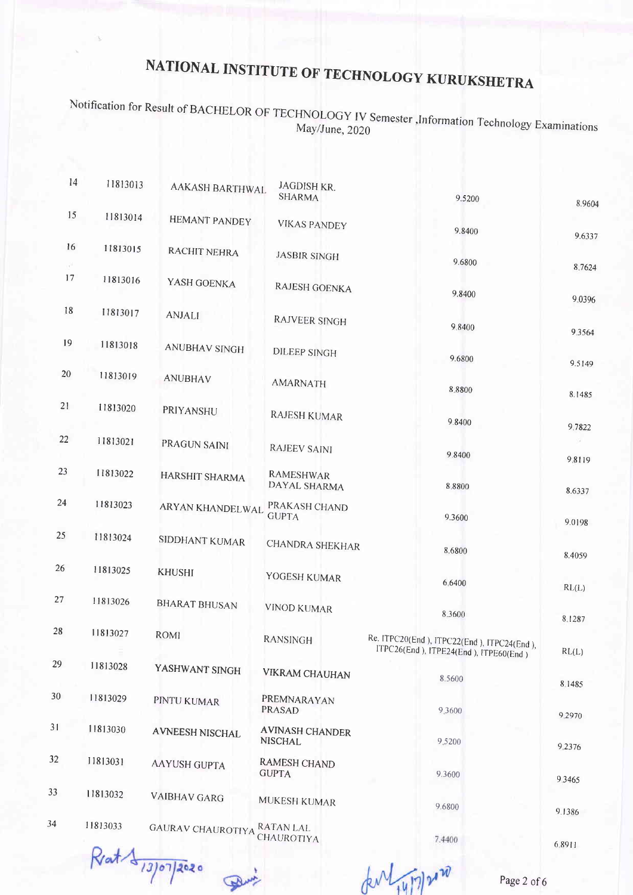Notification for Result of BACHELOR OF TECHNOLOGY IV Semester, Information May/June, 2020<br>May/June, 2020

| 14       | 11813013 | AAKASH BARTHWAL          | <b>JAGDISH KR.</b><br><b>SHARMA</b>      | 9.5200                                          | 8.9604 |
|----------|----------|--------------------------|------------------------------------------|-------------------------------------------------|--------|
| 15       | 11813014 | <b>HEMANT PANDEY</b>     | <b>VIKAS PANDEY</b>                      | 9.8400                                          |        |
| 16<br>v. | 11813015 | <b>RACHIT NEHRA</b>      | <b>JASBIR SINGH</b>                      | 9.6800                                          | 9.6337 |
| 17       | 11813016 | YASH GOENKA              | RAJESH GOENKA                            | 9.8400                                          | 8.7624 |
| 18       | 11813017 | <b>ANJALI</b>            | <b>RAJVEER SINGH</b>                     | 9.8400                                          | 9.0396 |
| 19       | 11813018 | <b>ANUBHAV SINGH</b>     | <b>DILEEP SINGH</b>                      | 9.6800                                          | 9.3564 |
| 20       | 11813019 | <b>ANUBHAV</b>           | <b>AMARNATH</b>                          | 8.8800                                          | 9.5149 |
| 21       | 11813020 | PRIYANSHU                | RAJESH KUMAR                             | 9.8400                                          | 8.1485 |
| 22       | 11813021 | PRAGUN SAINI             | <b>RAJEEV SAINI</b>                      | 9.8400                                          | 9.7822 |
| 23       | 11813022 | HARSHIT SHARMA           | <b>RAMESHWAR</b><br>DAYAL SHARMA         | 8,8800                                          | 9.8119 |
| 24       | 11813023 | ARYAN KHANDELWAL         | PRAKASH CHAND<br><b>GUPTA</b>            | 9.3600                                          | 8.6337 |
| 25       | 11813024 | SIDDHANT KUMAR           | <b>CHANDRA SHEKHAR</b>                   | 8.6800                                          | 9.0198 |
| 26       | 11813025 | <b>KHUSHI</b>            | YOGESH KUMAR                             | 6.6400                                          | 8.4059 |
| 27       | 11813026 | <b>BHARAT BHUSAN</b>     | <b>VINOD KUMAR</b>                       | 8.3600                                          | RL(L)  |
| 28       | 11813027 | <b>ROMI</b>              | <b>RANSINGH</b>                          | Re. ITPC20(End), ITPC22(End), ITPC24(End),      | 8.1287 |
| 29       | 11813028 | YASHWANT SINGH           | <b>VIKRAM CHAUHAN</b>                    | ITPC26(End), ITPE24(End), ITPE60(End)<br>8.5600 | RL(L)  |
| 30       | 11813029 | PINTU KUMAR              | PREMNARAYAN<br><b>PRASAD</b>             | 9,3600                                          | 8.1485 |
| 31       | 11813030 | <b>AVNEESH NISCHAL</b>   | <b>AVINASH CHANDER</b><br><b>NISCHAL</b> | 9.5200                                          | 9.2970 |
| 32       | 11813031 | <b>AAYUSH GUPTA</b>      | <b>RAMESH CHAND</b><br><b>GUPTA</b>      |                                                 | 9.2376 |
| 33       | 11813032 | <b>VAIBHAV GARG</b>      | MUKESH KUMAR                             | 9.3600                                          | 9.3465 |
| 34       | 11813033 | <b>GAURAV CHAUROTIYA</b> | <b>RATAN LAL</b>                         | 9.6800                                          | 9.1386 |
|          |          |                          | CHAUROTIYA                               | 7.4400                                          |        |

Rrat 13/07/2020  $\mathbf{P}$ 

dent 14/7/2010

Page 2 of 6

6 89ll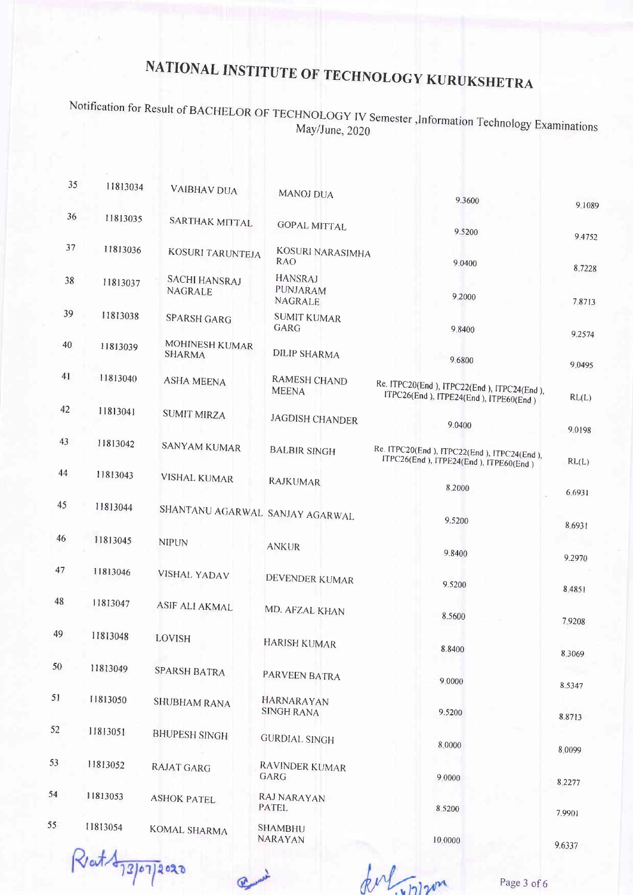Notification for Result of BACHELOR OF TECHNOLOGY IV Semester ,Information Technology Examinations May/June, 2020

| 35 | 11813034 | <b>VAIBHAV DUA</b>              | <b>MANOJ DUA</b>                      | 9.3600                                                                                 |                  |
|----|----------|---------------------------------|---------------------------------------|----------------------------------------------------------------------------------------|------------------|
| 36 | 11813035 | SARTHAK MITTAL                  | <b>GOPAL MITTAL</b>                   | 9.5200                                                                                 | 9.1089           |
| 37 | 11813036 | KOSURI TARUNTEJA                | KOSURI NARASIMHA<br><b>RAO</b>        | 9.0400                                                                                 | 9.4752           |
| 38 | 11813037 | <b>SACHI HANSRAJ</b><br>NAGRALE | <b>HANSRAJ</b><br>PUNJARAM<br>NAGRALE | 9,2000                                                                                 | 8.7228<br>7.8713 |
| 39 | 11813038 | <b>SPARSH GARG</b>              | <b>SUMIT KUMAR</b><br>GARG            | 9.8400                                                                                 | 9.2574           |
| 40 | 11813039 | MOHINESH KUMAR<br><b>SHARMA</b> | <b>DILIP SHARMA</b>                   | 9.6800                                                                                 | 9.0495           |
| 41 | 11813040 | <b>ASHA MEENA</b>               | RAMESH CHAND<br><b>MEENA</b>          | Re. ITPC20(End), ITPC22(End), ITPC24(End),<br>ITPC26(End), ITPE24(End), ITPE60(End)    | RL(L)            |
| 42 | 11813041 | <b>SUMIT MIRZA</b>              | <b>JAGDISH CHANDER</b>                | 9.0400                                                                                 | 9.0198           |
| 43 | 11813042 | <b>SANYAM KUMAR</b>             | <b>BALBIR SINGH</b>                   | Re. ITPC20(End ), ITPC22(End ), ITPC24(End ),<br>ITPC26(End), ITPE24(End), ITPE60(End) | RL(L)            |
| 44 | 11813043 | <b>VISHAL KUMAR</b>             | <b>RAJKUMAR</b>                       | 8,2000                                                                                 | 6.6931           |
| 45 | 11813044 | SHANTANU AGARWAL SANJAY AGARWAL |                                       | 9.5200                                                                                 | 8.6931           |
| 46 | 11813045 | <b>NIPUN</b>                    | <b>ANKUR</b>                          | 9.8400                                                                                 | 9.2970           |
| 47 | 11813046 | <b>VISHAL YADAV</b>             | DEVENDER KUMAR                        | 9.5200                                                                                 | 8.4851           |
| 48 | 11813047 | <b>ASIF ALI AKMAL</b>           | MD. AFZAL KHAN                        | 8.5600                                                                                 | 7.9208           |
| 49 | 11813048 | <b>LOVISH</b>                   | <b>HARISH KUMAR</b>                   | 8.8400                                                                                 | 8.3069           |
| 50 | 11813049 | <b>SPARSH BATRA</b>             | PARVEEN BATRA                         | 9.0000                                                                                 | 8.5347           |
| 51 | 11813050 | <b>SHUBHAM RANA</b>             | HARNARAYAN<br><b>SINGH RANA</b>       | 9.5200                                                                                 | 8.8713           |
| 52 | 11813051 | <b>BHUPESH SINGH</b>            | <b>GURDIAL SINGH</b>                  | 8.0000                                                                                 | 8.0099           |
| 53 | 11813052 | <b>RAJAT GARG</b>               | RAVINDER KUMAR<br>GARG                | 9.0000                                                                                 | 8.2277           |
| 54 | 11813053 | <b>ASHOK PATEL</b>              | RAJ NARAYAN<br><b>PATEL</b>           | 8.5200                                                                                 | 7.9901           |
| 55 | 11813054 | <b>KOMAL SHARMA</b>             | <b>SHAMBHU</b><br>NARAYAN             | 10,0000                                                                                | 9.6337           |

RatA13/07/2020

fort where

Page 3 of 6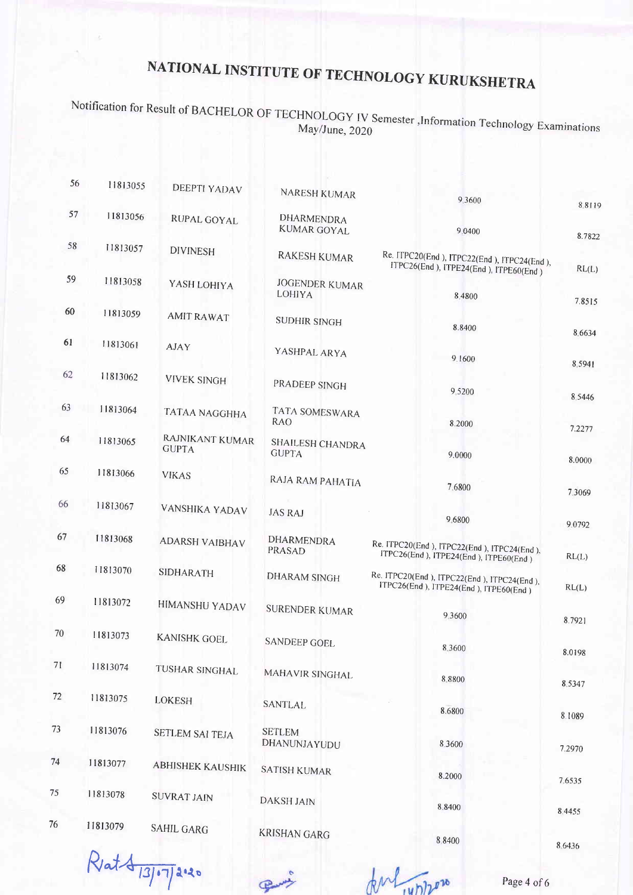Notification for Result of BACHELOR OF TECHNOLOGY IV Semester ,Information Technology Examinations May/June, 2020

| 56          | 11813055 | <b>DEEPTI YADAV</b>             | NARESH KUMAR                            | 9 3 6 0 0                                                                           |                  |
|-------------|----------|---------------------------------|-----------------------------------------|-------------------------------------------------------------------------------------|------------------|
| 57          | 11813056 | RUPAL GOYAL                     | <b>DHARMENDRA</b><br><b>KUMAR GOYAL</b> | 9.0400                                                                              | 88119            |
| 58          | 11813057 | <b>DIVINESH</b>                 | <b>RAKESH KUMAR</b>                     | Re. ITPC20(End), ITPC22(End), ITPC24(End),                                          | 8.7822           |
| 59          | 11813058 | YASH LOHIYA                     | <b>JOGENDER KUMAR</b><br>LOHIYA         | ITPC26(End), ITPE24(End), ITPE60(End)<br>8.4800                                     | RL(L)            |
| 60          | 11813059 | <b>AMIT RAWAT</b>               | <b>SUDHIR SINGH</b>                     | 8.8400                                                                              | 7.8515           |
| 61          | 11813061 | <b>AJAY</b>                     | YASHPAL ARYA                            | 9.1600                                                                              | 8.6634<br>8.5941 |
| 62          | 11813062 | <b>VIVEK SINGH</b>              | PRADEEP SINGH                           | 9 5 200                                                                             | 8 5 4 4 6        |
| 63          | 11813064 | <b>TATAA NAGGHHA</b>            | TATA SOMESWARA<br><b>RAO</b>            | 8.2000                                                                              | 7.2277           |
| 64          | 11813065 | RAJNIKANT KUMAR<br><b>GUPTA</b> | SHAILESH CHANDRA<br><b>GUPTA</b>        | 9.0000                                                                              | 8.0000           |
| 65          | 11813066 | <b>VIKAS</b>                    | RAJA RAM PAHATIA                        | 7.6800                                                                              | 7.3069           |
| 66          | 11813067 | VANSHIKA YADAV                  | <b>JAS RAJ</b>                          | 9.6800                                                                              | 9.0792           |
| 67          | 11813068 | <b>ADARSH VAIBHAV</b>           | <b>DHARMENDRA</b><br><b>PRASAD</b>      | Re. ITPC20(End), ITPC22(End), ITPC24(End),<br>ITPC26(End), ITPE24(End), ITPE60(End) | RL(L)            |
| 68          | 11813070 | <b>SIDHARATH</b>                | <b>DHARAM SINGH</b>                     | Re. ITPC20(End), ITPC22(End), ITPC24(End),<br>ITPC26(End), ITPE24(End), ITPE60(End) | RL(L)            |
| 69          | 11813072 | <b>HIMANSHU YADAV</b>           | <b>SURENDER KUMAR</b>                   | 9.3600                                                                              | 8.7921           |
| 70          | 11813073 | <b>KANISHK GOEL</b>             | <b>SANDEEP GOEL</b>                     | 8.3600                                                                              | 8.0198           |
| $71$        | 11813074 | TUSHAR SINGHAL                  | MAHAVIR SINGHAL                         | 8.8800                                                                              | 8.5347           |
| 72          | 11813075 | LOKESH                          | SANTLAL                                 | 8.6800                                                                              | 8.1089           |
| 73          | 11813076 | <b>SETLEM SAI TEJA</b>          | <b>SETLEM</b><br>DHANUNJAYUDU           | 8.3600                                                                              | 7.2970           |
| 74          | 11813077 | <b>ABHISHEK KAUSHIK</b>         | <b>SATISH KUMAR</b>                     | 8.2000                                                                              | 7.6535           |
| 75          | 11813078 | <b>SUVRAT JAIN</b>              | <b>DAKSH JAIN</b>                       | 8.8400                                                                              | 8.4455           |
| $6^{\circ}$ | 11813079 | <b>SAHIL GARG</b>               | <b>KRISHAN GARG</b>                     | 8.8400                                                                              | 8.6436           |
|             |          |                                 |                                         |                                                                                     |                  |

Rat 813/07/2020

Jul 14/1200

Page 4 of 6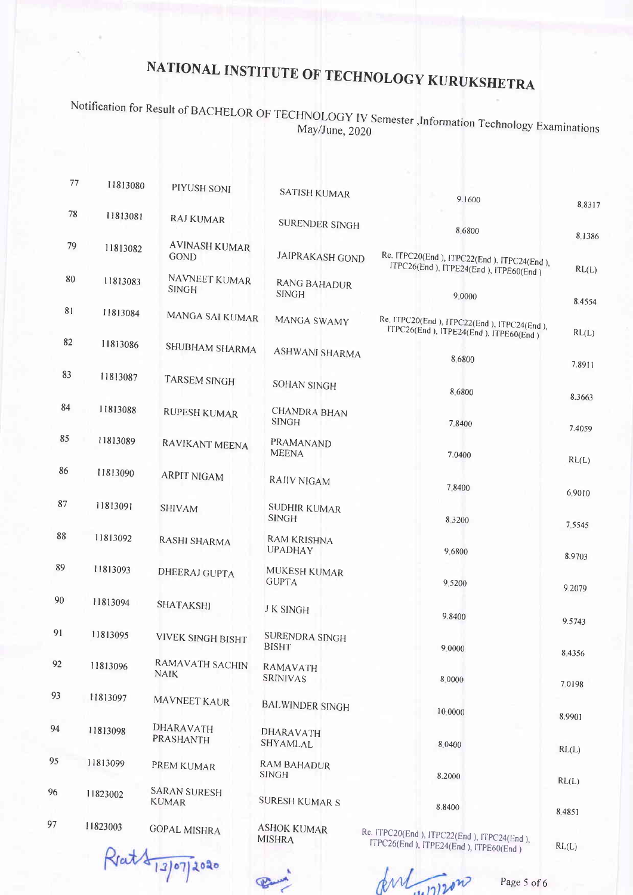Notification for Result of BACHELOR OF TECHNOLOGY IV Semester mvologi TV semester ,Information Technology Examinations<br>May/June, 2020

| 77 | 11813080 | PIYUSH SONI                         | <b>SATISH KUMAR</b>                  | 9.1600                                                          |                  |
|----|----------|-------------------------------------|--------------------------------------|-----------------------------------------------------------------|------------------|
| 78 | 11813081 | <b>RAJ KUMAR</b>                    | <b>SURENDER SINGH</b>                | 8.6800                                                          | 8.831            |
| 79 | 11813082 | <b>AVINASH KUMAR</b><br><b>GOND</b> | <b>JAIPRAKASH GOND</b>               | Re. ITPC20(End), ITPC22(End), ITPC24(End),                      | 8,1386           |
| 80 | 11813083 | NAVNEET KUMAR<br><b>SINGH</b>       | <b>RANG BAHADUR</b><br><b>SINGH</b>  | ITPC26(End), ITPE24(End), ITPE60(End)<br>9.0000                 | RL(L)            |
| 81 | 11813084 | MANGA SAI KUMAR                     | MANGA SWAMY                          | Re. ITPC20(End ), ITPC22(End ), ITPC24(End ),                   | 8.4554           |
| 82 | 11813086 | SHUBHAM SHARMA                      | <b>ASHWANI SHARMA</b>                | ITPC26(End), ITPE24(End), ITPE60(End)<br>8.6800                 | RL(L)            |
| 83 | 11813087 | <b>TARSEM SINGH</b>                 | <b>SOHAN SINGH</b>                   | 8.6800                                                          | 7.8911           |
| 84 | 11813088 | <b>RUPESH KUMAR</b>                 | <b>CHANDRA BHAN</b><br><b>SINGH</b>  | 7.8400                                                          | 8.3663           |
| 85 | 11813089 | RAVIKANT MEENA                      | PRAMANAND<br><b>MEENA</b>            | 7.0400                                                          | 7.4059           |
| 86 | 11813090 | <b>ARPIT NIGAM</b>                  | <b>RAJIV NIGAM</b>                   | 7.8400                                                          | RL(L)            |
| 87 | 11813091 | <b>SHIVAM</b>                       | <b>SUDHIR KUMAR</b><br><b>SINGH</b>  | 8.3200                                                          | 6.9010           |
| 88 | 11813092 | RASHI SHARMA                        | <b>RAM KRISHNA</b><br><b>UPADHAY</b> | 9.6800                                                          | 7.5545<br>8.9703 |
| 89 | 11813093 | <b>DHEERAJ GUPTA</b>                | MUKESH KUMAR<br><b>GUPTA</b>         | 9,5200                                                          | 9.2079           |
| 90 | 11813094 | SHATAKSHI                           | <b>JK SINGH</b>                      | 9.8400                                                          |                  |
| 91 | 11813095 | <b>VIVEK SINGH BISHT</b>            | SURENDRA SINGH<br><b>BISHT</b>       | 9.0000                                                          | 9.5743           |
| 92 | 11813096 | RAMAVATH SACHIN<br><b>NAIK</b>      | RAMAVATH<br><b>SRINIVAS</b>          | 8.0000                                                          | 8.4356<br>7.0198 |
| 93 | 11813097 | MAVNEET KAUR                        | <b>BALWINDER SINGH</b>               | 10.0000                                                         |                  |
| 94 | 11813098 | DHARAVATH<br>PRASHANTH              | DHARAVATH<br>SHYAMLAL                | 8.0400                                                          | 8.9901           |
| 95 | 11813099 | PREM KUMAR                          | <b>RAM BAHADUR</b><br><b>SINGH</b>   | 8.2000                                                          | RL(L)            |
| 96 | 11823002 | <b>SARAN SURESH</b><br><b>KUMAR</b> | <b>SURESH KUMAR S</b>                | 8.8400                                                          | RL(L)<br>8.4851  |
| 97 | 11823003 | <b>GOPAL MISHRA</b>                 | <b>ASHOK KUMAR</b><br><b>MISHRA</b>  | Re. ITPC20(End), ITPC22(End), ITPC24(End),<br>$TPC26End$ $TPD2$ |                  |

Reat \$ 13/07/2020

 $R = 100$  , reduction in Freederical (End ). ITpc24(End ). ITpc26(End ).

Jent 11/200

RL(L)

Page 5 of 6